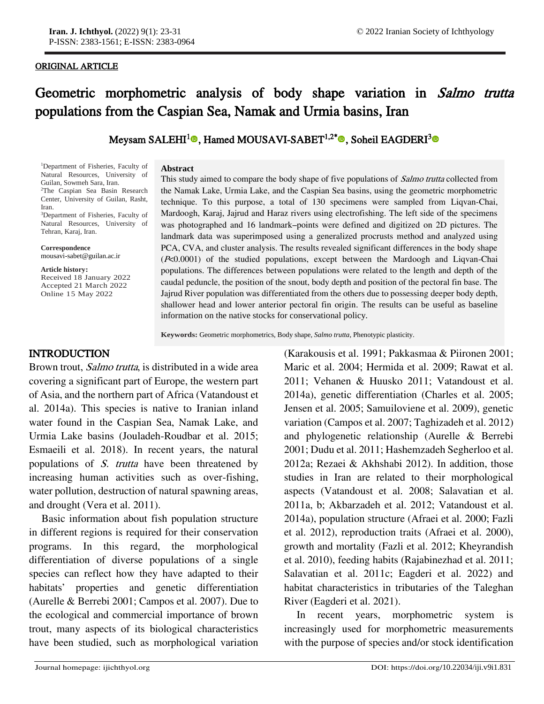#### ORIGINAL ARTICLE

j

# Geometric morphometric analysis of body shape variation in Salmo trutta populations from the Caspian Sea, Namak and Urmia basins, Iran

# Meysam SALEHI<sup>[1](https://orcid.org/0000-0001-5207-3197)</sup>®, Hamed MOUSAVI-SABET<sup>1,2[\\*](https://orcid.org/0000-0002-2810-8924)</sup>®, Soheil EAGDERI<sup>[3](https://orcid.org/0000-0001-8649-9452)</sup>

<sup>1</sup>Department of Fisheries, Faculty of Natural Resources, University of Guilan, Sowmeh Sara, Iran. <sup>2</sup>The Caspian Sea Basin Research Center, University of Guilan, Rasht, Iran.

<sup>3</sup>Department of Fisheries, Faculty of Natural Resources, University of Tehran, Karaj, Iran.

Correspondence mousavi-sabet@guilan.ac.ir

**Article history:**

Received 18 January 2022 Accepted 21 March 2022 Online 15 May 2022

#### **Abstract**

This study aimed to compare the body shape of five populations of *Salmo trutta* collected from the Namak Lake, Urmia Lake, and the Caspian Sea basins, using the geometric morphometric technique. To this purpose, a total of 130 specimens were sampled from Liqvan-Chai, Mardoogh, Karaj, Jajrud and Haraz rivers using electrofishing. The left side of the specimens was photographed and 16 landmark–points were defined and digitized on 2D pictures. The landmark data was superimposed using a generalized procrusts method and analyzed using PCA, CVA, and cluster analysis. The results revealed significant differences in the body shape (P<0.0001) of the studied populations, except between the Mardoogh and Liqvan-Chai populations. The differences between populations were related to the length and depth of the caudal peduncle, the position of the snout, body depth and position of the pectoral fin base. The Jajrud River population was differentiated from the others due to possessing deeper body depth, shallower head and lower anterior pectoral fin origin. The results can be useful as baseline information on the native stocks for conservational policy.

**Keywords:** Geometric morphometrics, Body shape, *Salmo trutta*, Phenotypic plasticity.

## INTRODUCTION

Brown trout, *Salmo trutta*, is distributed in a wide area covering a significant part of Europe, the western part of Asia, and the northern part of Africa (Vatandoust et al. 2014a). This species is native to Iranian inland water found in the Caspian Sea, Namak Lake, and Urmia Lake basins (Jouladeh-Roudbar et al. 2015; Esmaeili et al. 2018). In recent years, the natural populations of *S. trutta* have been threatened by increasing human activities such as over-fishing, water pollution, destruction of natural spawning areas, and drought (Vera et al. 2011).

Basic information about fish population structure in different regions is required for their conservation programs. In this regard, the morphological differentiation of diverse populations of a single species can reflect how they have adapted to their habitats' properties and genetic differentiation (Aurelle & Berrebi 2001; Campos et al. 2007). Due to the ecological and commercial importance of brown trout, many aspects of its biological characteristics have been studied, such as morphological variation

(Karakousis et al. 1991; Pakkasmaa & Piironen 2001; Maric et al. 2004; Hermida et al. 2009; Rawat et al. 2011; Vehanen & Huusko 2011; Vatandoust et al. 2014a), genetic differentiation (Charles et al. 2005; Jensen et al. 2005; Samuiloviene et al. 2009), genetic variation (Campos et al. 2007; Taghizadeh et al. 2012) and phylogenetic relationship (Aurelle & Berrebi 2001; Dudu et al. 2011; Hashemzadeh Segherloo et al. 2012a; Rezaei & Akhshabi 2012). In addition, those studies in Iran are related to their morphological aspects (Vatandoust et al. 2008; Salavatian et al. 2011a, b; Akbarzadeh et al. 2012; Vatandoust et al. 2014a), population structure (Afraei et al. 2000; Fazli et al. 2012), reproduction traits (Afraei et al. 2000), growth and mortality (Fazli et al. 2012; Kheyrandish et al. 2010), feeding habits (Rajabinezhad et al. 2011; Salavatian et al. 2011c; Eagderi et al. 2022) and habitat characteristics in tributaries of the Taleghan River (Eagderi et al. 2021).

In recent years, morphometric system is increasingly used for morphometric measurements with the purpose of species and/or stock identification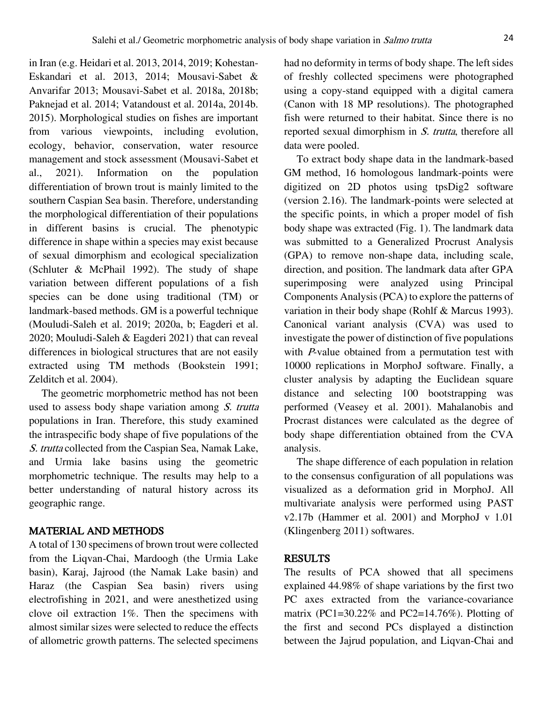in Iran (e.g. Heidari et al. 2013, 2014, 2019; Kohestan-Eskandari et al. 2013, 2014; Mousavi-Sabet & Anvarifar 2013; Mousavi-Sabet et al. 2018a, 2018b; Paknejad et al. 2014; Vatandoust et al. 2014a, 2014b. 2015). Morphological studies on fishes are important from various viewpoints, including evolution, ecology, behavior, conservation, water resource management and stock assessment (Mousavi-Sabet et al., 2021). Information on the population differentiation of brown trout is mainly limited to the southern Caspian Sea basin. Therefore, understanding the morphological differentiation of their populations in different basins is crucial. The phenotypic difference in shape within a species may exist because of sexual dimorphism and ecological specialization (Schluter & McPhail 1992). The study of shape variation between different populations of a fish species can be done using traditional (TM) or landmark-based methods. GM is a powerful technique (Mouludi-Saleh et al. 2019; 2020a, b; Eagderi et al. 2020; Mouludi-Saleh & Eagderi 2021) that can reveal differences in biological structures that are not easily extracted using TM methods (Bookstein 1991; Zelditch et al. 2004).

The geometric morphometric method has not been used to assess body shape variation among S. trutta populations in Iran. Therefore, this study examined the intraspecific body shape of five populations of the S. trutta collected from the Caspian Sea, Namak Lake, and Urmia lake basins using the geometric morphometric technique. The results may help to a better understanding of natural history across its geographic range.

### MATERIAL AND METHODS

A total of 130 specimens of brown trout were collected from the Liqvan-Chai, Mardoogh (the Urmia Lake basin), Karaj, Jajrood (the Namak Lake basin) and Haraz (the Caspian Sea basin) rivers using electrofishing in 2021, and were anesthetized using clove oil extraction 1%. Then the specimens with almost similar sizes were selected to reduce the effects of allometric growth patterns. The selected specimens

had no deformity in terms of body shape. The left sides of freshly collected specimens were photographed using a copy-stand equipped with a digital camera (Canon with 18 MP resolutions). The photographed fish were returned to their habitat. Since there is no reported sexual dimorphism in S. trutta, therefore all data were pooled.

To extract body shape data in the landmark-based GM method, 16 homologous landmark-points were digitized on 2D photos using tpsDig2 software (version 2.16). The landmark-points were selected at the specific points, in which a proper model of fish body shape was extracted (Fig. 1). The landmark data was submitted to a Generalized Procrust Analysis (GPA) to remove non-shape data, including scale, direction, and position. The landmark data after GPA superimposing were analyzed using Principal Components Analysis (PCA) to explore the patterns of variation in their body shape (Rohlf & Marcus 1993). Canonical variant analysis (CVA) was used to investigate the power of distinction of five populations with P-value obtained from a permutation test with 10000 replications in MorphoJ software. Finally, a cluster analysis by adapting the Euclidean square distance and selecting 100 bootstrapping was performed (Veasey et al. 2001). Mahalanobis and Procrast distances were calculated as the degree of body shape differentiation obtained from the CVA analysis.

The shape difference of each population in relation to the consensus configuration of all populations was visualized as a deformation grid in MorphoJ. All multivariate analysis were performed using PAST v2.17b (Hammer et al. 2001) and MorphoJ v 1.01 (Klingenberg 2011) softwares.

#### RESULTS

The results of PCA showed that all specimens explained 44.98% of shape variations by the first two PC axes extracted from the variance-covariance matrix (PC1=30.22% and PC2=14.76%). Plotting of the first and second PCs displayed a distinction between the Jajrud population, and Liqvan-Chai and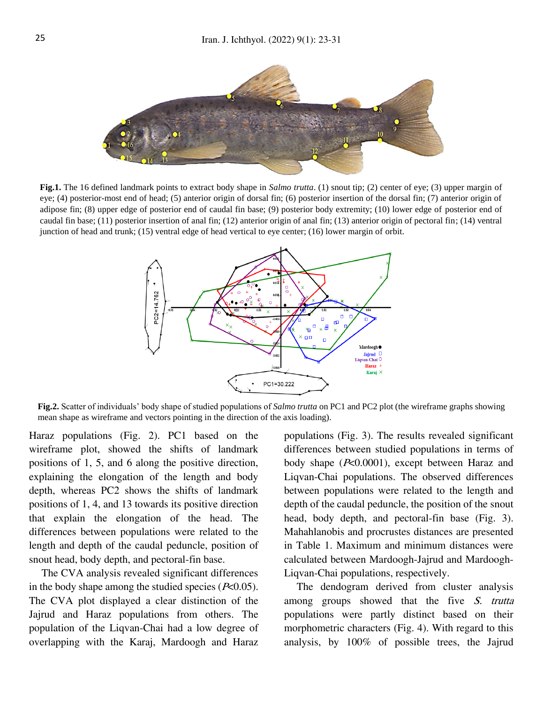

**Fig.1.** The 16 defined landmark points to extract body shape in *Salmo trutta*. (1) snout tip; (2) center of eye; (3) upper margin of eye; (4) posterior-most end of head; (5) anterior origin of dorsal fin; (6) posterior insertion of the dorsal fin; (7) anterior origin of adipose fin; (8) upper edge of posterior end of caudal fin base; (9) posterior body extremity; (10) lower edge of posterior end of caudal fin base; (11) posterior insertion of anal fin; (12) anterior origin of anal fin; (13) anterior origin of pectoral fin; (14) ventral junction of head and trunk; (15) ventral edge of head vertical to eye center; (16) lower margin of orbit.



**Fig.2.** Scatter of individuals' body shape of studied populations of *Salmo trutta* on PC1 and PC2 plot (the wireframe graphs showing mean shape as wireframe and vectors pointing in the direction of the axis loading).

Haraz populations (Fig. 2). PC1 based on the wireframe plot, showed the shifts of landmark positions of 1, 5, and 6 along the positive direction, explaining the elongation of the length and body depth, whereas PC2 shows the shifts of landmark positions of 1, 4, and 13 towards its positive direction that explain the elongation of the head. The differences between populations were related to the length and depth of the caudal peduncle, position of snout head, body depth, and pectoral-fin base.

The CVA analysis revealed significant differences in the body shape among the studied species  $(P<0.05)$ . The CVA plot displayed a clear distinction of the Jajrud and Haraz populations from others. The population of the Liqvan-Chai had a low degree of overlapping with the Karaj, Mardoogh and Haraz

populations (Fig. 3). The results revealed significant differences between studied populations in terms of body shape (P<0.0001), except between Haraz and Liqvan-Chai populations. The observed differences between populations were related to the length and depth of the caudal peduncle, the position of the snout head, body depth, and pectoral-fin base (Fig. 3). Mahahlanobis and procrustes distances are presented in Table 1. Maximum and minimum distances were calculated between Mardoogh-Jajrud and Mardoogh-Liqvan-Chai populations, respectively.

The dendogram derived from cluster analysis among groups showed that the five S. trutta populations were partly distinct based on their morphometric characters (Fig. 4). With regard to this analysis, by 100% of possible trees, the Jajrud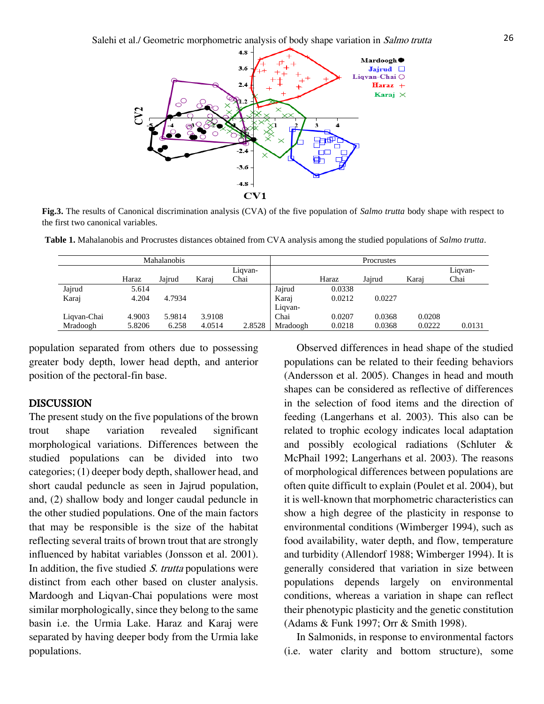

**Fig.3.** The results of Canonical discrimination analysis (CVA) of the five population of *Salmo trutta* body shape with respect to the first two canonical variables.

**Table 1.** Mahalanobis and Procrustes distances obtained from CVA analysis among the studied populations of *Salmo trutta*.

| Mahalanobis |        |        |        |         | Procrustes |        |        |        |         |
|-------------|--------|--------|--------|---------|------------|--------|--------|--------|---------|
|             |        |        |        | Liqvan- |            |        |        |        | Liqvan- |
|             | Haraz  | Jajrud | Karaj  | Chai    |            | Haraz  | Jairud | Karaj  | Chai    |
| Jajrud      | 5.614  |        |        |         | Jajrud     | 0.0338 |        |        |         |
| Karaj       | 4.204  | 4.7934 |        |         | Karaj      | 0.0212 | 0.0227 |        |         |
|             |        |        |        |         | Liqvan-    |        |        |        |         |
| Liqvan-Chai | 4.9003 | 5.9814 | 3.9108 |         | Chai       | 0.0207 | 0.0368 | 0.0208 |         |
| Mradoogh    | 5.8206 | 6.258  | 4.0514 | 2.8528  | Mradoogh   | 0.0218 | 0.0368 | 0.0222 | 0.0131  |

population separated from others due to possessing greater body depth, lower head depth, and anterior position of the pectoral-fin base.

#### **DISCUSSION**

The present study on the five populations of the brown trout shape variation revealed significant morphological variations. Differences between the studied populations can be divided into two categories; (1) deeper body depth, shallower head, and short caudal peduncle as seen in Jajrud population, and, (2) shallow body and longer caudal peduncle in the other studied populations. One of the main factors that may be responsible is the size of the habitat reflecting several traits of brown trout that are strongly influenced by habitat variables (Jonsson et al. 2001). In addition, the five studied  $S$ . trutta populations were distinct from each other based on cluster analysis. Mardoogh and Liqvan-Chai populations were most similar morphologically, since they belong to the same basin i.e. the Urmia Lake. Haraz and Karaj were separated by having deeper body from the Urmia lake populations.

Observed differences in head shape of the studied populations can be related to their feeding behaviors (Andersson et al. 2005). Changes in head and mouth shapes can be considered as reflective of differences in the selection of food items and the direction of feeding (Langerhans et al. 2003). This also can be related to trophic ecology indicates local adaptation and possibly ecological radiations (Schluter & McPhail 1992; Langerhans et al. 2003). The reasons of morphological differences between populations are often quite difficult to explain (Poulet et al. 2004), but it is well-known that morphometric characteristics can show a high degree of the plasticity in response to environmental conditions (Wimberger 1994), such as food availability, water depth, and flow, temperature and turbidity (Allendorf 1988; Wimberger 1994). It is generally considered that variation in size between populations depends largely on environmental conditions, whereas a variation in shape can reflect their phenotypic plasticity and the genetic constitution (Adams & Funk 1997; Orr & Smith 1998).

In Salmonids, in response to environmental factors (i.e. water clarity and bottom structure), some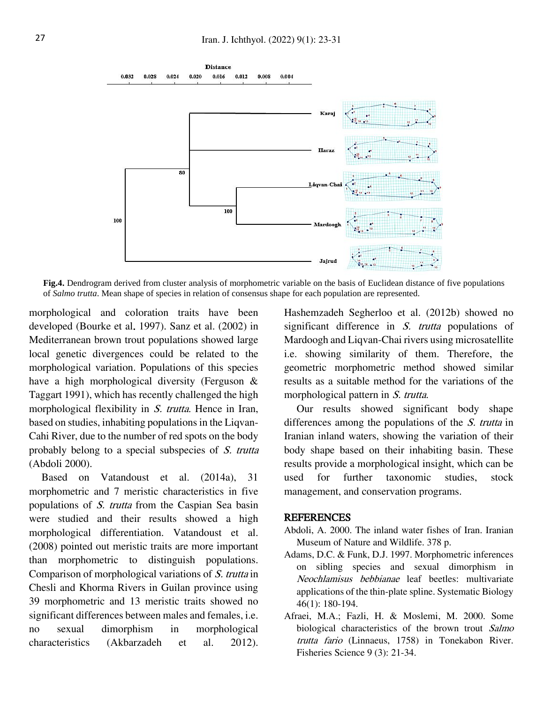

**Fig.4.** Dendrogram derived from cluster analysis of morphometric variable on the basis of Euclidean distance of five populations of *Salmo trutta*. Mean shape of species in relation of consensus shape for each population are represented.

morphological and coloration traits have been developed (Bourke et al. 1997). Sanz et al. (2002) in Mediterranean brown trout populations showed large local genetic divergences could be related to the morphological variation. Populations of this species have a high morphological diversity (Ferguson & Taggart 1991), which has recently challenged the high morphological flexibility in *S. trutta*. Hence in Iran, based on studies, inhabiting populations in the Liqvan-Cahi River, due to the number of red spots on the body probably belong to a special subspecies of S. trutta (Abdoli 2000).

Based on Vatandoust et al. (2014a), 31 morphometric and 7 meristic characteristics in five populations of S. trutta from the Caspian Sea basin were studied and their results showed a high morphological differentiation. Vatandoust et al. (2008) pointed out meristic traits are more important than morphometric to distinguish populations. Comparison of morphological variations of S. trutta in Chesli and Khorma Rivers in Guilan province using 39 morphometric and 13 meristic traits showed no significant differences between males and females, i.e. no sexual dimorphism in morphological characteristics (Akbarzadeh et al. 2012).

Hashemzadeh Segherloo et al. (2012b) showed no significant difference in *S. trutta* populations of Mardoogh and Liqvan-Chai rivers using microsatellite i.e. showing similarity of them. Therefore, the geometric morphometric method showed similar results as a suitable method for the variations of the morphological pattern in *S. trutta*.

Our results showed significant body shape differences among the populations of the S. trutta in Iranian inland waters, showing the variation of their body shape based on their inhabiting basin. These results provide a morphological insight, which can be used for further taxonomic studies, stock management, and conservation programs.

#### **REFERENCES**

- Abdoli, A. 2000. The inland water fishes of Iran. Iranian Museum of Nature and Wildlife. 378 p.
- Adams, D.C. & Funk, D.J. 1997. Morphometric inferences on sibling species and sexual dimorphism in Neochlamisus bebbianae leaf beetles: multivariate applications of the thin-plate spline. Systematic Biology 46(1): 180-194.
- Afraei, M.A.; Fazli, H. & Moslemi, M. 2000. Some biological characteristics of the brown trout Salmo trutta fario (Linnaeus, 1758) in Tonekabon River. Fisheries Science 9 (3): 21-34.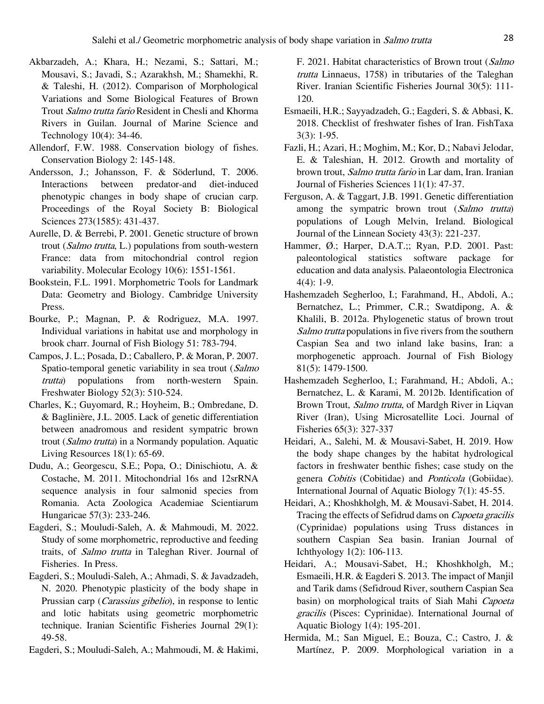- Akbarzadeh, A.; Khara, H.; Nezami, S.; Sattari, M.; Mousavi, S.; Javadi, S.; Azarakhsh, M.; Shamekhi, R. & Taleshi, H. (2012). Comparison of Morphological Variations and Some Biological Features of Brown Trout Salmo trutta fario Resident in Chesli and Khorma Rivers in Guilan. Journal of Marine Science and Technology 10(4): 34-46.
- Allendorf, F.W. 1988. Conservation biology of fishes. Conservation Biology 2: 145-148.
- Andersson, J.; Johansson, F. & Söderlund, T. 2006. Interactions between predator-and diet-induced phenotypic changes in body shape of crucian carp. Proceedings of the Royal Society B: Biological Sciences 273(1585): 431-437.
- Aurelle, D. & Berrebi, P. 2001. Genetic structure of brown trout (Salmo trutta, L.) populations from south-western France: data from mitochondrial control region variability. Molecular Ecology 10(6): 1551-1561.
- Bookstein, F.L. 1991. Morphometric Tools for Landmark Data: Geometry and Biology. Cambridge University Press.
- Bourke, P.; Magnan, P. & Rodriguez, M.A. 1997. Individual variations in habitat use and morphology in brook charr. Journal of Fish Biology 51: 783-794.
- Campos, J. L.; Posada, D.; Caballero, P. & Moran, P. 2007. Spatio-temporal genetic variability in sea trout (Salmo trutta) populations from north‐western Spain. Freshwater Biology 52(3): 510-524.
- Charles, K.; Guyomard, R.; Hoyheim, B.; Ombredane, D. & Baglinière, J.L. 2005. Lack of genetic differentiation between anadromous and resident sympatric brown trout (Salmo trutta) in a Normandy population. Aquatic Living Resources 18(1): 65-69.
- Dudu, A.; Georgescu, S.E.; Popa, O.; Dinischiotu, A. & Costache, M. 2011. Mitochondrial 16s and 12srRNA sequence analysis in four salmonid species from Romania. Acta Zoologica Academiae Scientiarum Hungaricae 57(3): 233-246.
- Eagderi, S.; Mouludi-Saleh, A. & Mahmoudi, M. 2022. Study of some morphometric, reproductive and feeding traits, of Salmo trutta in Taleghan River. Journal of Fisheries. In Press.
- Eagderi, S.; Mouludi-Saleh, A.; Ahmadi, S. & Javadzadeh, N. 2020. Phenotypic plasticity of the body shape in Prussian carp (*Carassius gibelio*), in response to lentic and lotic habitats using geometric morphometric technique. Iranian Scientific Fisheries Journal 29(1): 49-58.
- Eagderi, S.; Mouludi-Saleh, A.; Mahmoudi, M. & Hakimi,

F. 2021. Habitat characteristics of Brown trout (Salmo trutta Linnaeus, 1758) in tributaries of the Taleghan River. Iranian Scientific Fisheries Journal 30(5): 111- 120.

- Esmaeili, H.R.; Sayyadzadeh, G.; Eagderi, S. & Abbasi, K. 2018. Checklist of freshwater fishes of Iran. FishTaxa 3(3): 1-95.
- Fazli, H.; Azari, H.; Moghim, M.; Kor, D.; Nabavi Jelodar, E. & Taleshian, H. 2012. Growth and mortality of brown trout, Salmo trutta fario in Lar dam, Iran. Iranian Journal of Fisheries Sciences 11(1): 47-37.
- Ferguson, A. & Taggart, J.B. 1991. Genetic differentiation among the sympatric brown trout (Salmo trutta) populations of Lough Melvin, Ireland. Biological Journal of the Linnean Society 43(3): 221-237.
- Hammer, Ø.; Harper, D.A.T.;; Ryan, P.D. 2001. Past: paleontological statistics software package for education and data analysis. Palaeontologia Electronica  $4(4): 1-9.$
- Hashemzadeh Segherloo, I.; Farahmand, H., Abdoli, A.; Bernatchez, L.; Primmer, C.R.; Swatdipong, A. & Khalili, B. 2012a. Phylogenetic status of brown trout Salmo trutta populations in five rivers from the southern Caspian Sea and two inland lake basins, Iran: a morphogenetic approach. Journal of Fish Biology 81(5): 1479-1500.
- Hashemzadeh Segherloo, I.; Farahmand, H.; Abdoli, A.; Bernatchez, L. & Karami, M. 2012b. Identification of Brown Trout, *Salmo trutta*, of Mardgh River in Liqvan River (Iran), Using Microsatellite Loci. Journal of Fisheries 65(3): 327-337
- Heidari, A., Salehi, M. & Mousavi-Sabet, H. 2019. How the body shape changes by the habitat hydrological factors in freshwater benthic fishes; case study on the genera Cobitis (Cobitidae) and Ponticola (Gobiidae). International Journal of Aquatic Biology 7(1): 45-55.
- Heidari, A.; Khoshkholgh, M. & Mousavi-Sabet, H. 2014. Tracing the effects of Sefidrud dams on Capoeta gracilis (Cyprinidae) populations using Truss distances in southern Caspian Sea basin. Iranian Journal of Ichthyology 1(2): 106-113.
- Heidari, A.; Mousavi-Sabet, H.; Khoshkholgh, M.; Esmaeili, H.R. & Eagderi S. 2013. The impact of Manjil and Tarik dams (Sefidroud River, southern Caspian Sea basin) on morphological traits of Siah Mahi Capoeta gracilis (Pisces: Cyprinidae). International Journal of Aquatic Biology 1(4): 195-201.
- Hermida, M.; San Miguel, E.; Bouza, C.; Castro, J. & Martínez, P. 2009. Morphological variation in a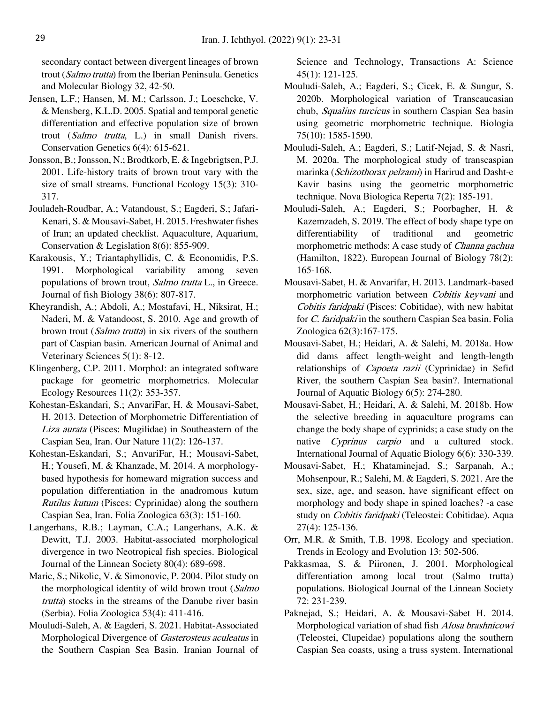secondary contact between divergent lineages of brown trout (Salmo trutta) from the Iberian Peninsula. Genetics and Molecular Biology 32, 42-50.

- Jensen, L.F.; Hansen, M. M.; Carlsson, J.; Loeschcke, V. & Mensberg, K.L.D. 2005. Spatial and temporal genetic differentiation and effective population size of brown trout (Salmo trutta, L.) in small Danish rivers. Conservation Genetics 6(4): 615-621.
- Jonsson, B.; Jonsson, N.; Brodtkorb, E. & Ingebrigtsen, P.J. 2001. Life-history traits of brown trout vary with the size of small streams. Functional Ecology 15(3): 310- 317.
- Jouladeh-Roudbar, A.; Vatandoust, S.; Eagderi, S.; Jafari-Kenari, S. & Mousavi-Sabet, H. 2015. Freshwater fishes of Iran; an updated checklist. Aquaculture, Aquarium, Conservation & Legislation 8(6): 855-909.
- Karakousis, Y.; Triantaphyllidis, C. & Economidis, P.S. 1991. Morphological variability among seven populations of brown trout, Salmo trutta L., in Greece. Journal of fish Biology 38(6): 807-817.
- Kheyrandish, A.; Abdoli, A.; Mostafavi, H., Niksirat, H.; Naderi, M. & Vatandoost, S. 2010. Age and growth of brown trout (Salmo trutta) in six rivers of the southern part of Caspian basin. American Journal of Animal and Veterinary Sciences 5(1): 8-12.
- Klingenberg, C.P. 2011. MorphoJ: an integrated software package for geometric morphometrics. Molecular Ecology Resources 11(2): 353-357.
- Kohestan-Eskandari, S.; AnvariFar, H. & Mousavi-Sabet, H. 2013. Detection of Morphometric Differentiation of Liza aurata (Pisces: Mugilidae) in Southeastern of the Caspian Sea, Iran. Our Nature 11(2): 126-137.
- Kohestan-Eskandari, S.; AnvariFar, H.; Mousavi-Sabet, H.; Yousefi, M. & Khanzade, M. 2014. A morphologybased hypothesis for homeward migration success and population differentiation in the anadromous kutum Rutilus kutum (Pisces: Cyprinidae) along the southern Caspian Sea, Iran. Folia Zoologica 63(3): 151-160.
- Langerhans, R.B.; Layman, C.A.; Langerhans, A.K. & Dewitt, T.J. 2003. Habitat-associated morphological divergence in two Neotropical fish species. Biological Journal of the Linnean Society 80(4): 689-698.
- Maric, S.; Nikolic, V. & Simonovic, P. 2004. Pilot study on the morphological identity of wild brown trout (Salmo trutta) stocks in the streams of the Danube river basin (Serbia). Folia Zoologica 53(4): 411-416.
- Mouludi-Saleh, A. & Eagderi, S. 2021. Habitat-Associated Morphological Divergence of Gasterosteus aculeatus in the Southern Caspian Sea Basin. Iranian Journal of

Science and Technology, Transactions A: Science 45(1): 121-125.

- Mouludi-Saleh, A.; Eagderi, S.; Cicek, E. & Sungur, S. 2020b. Morphological variation of Transcaucasian chub, Squalius turcicus in southern Caspian Sea basin using geometric morphometric technique. Biologia 75(10): 1585-1590.
- Mouludi-Saleh, A.; Eagderi, S.; Latif-Nejad, S. & Nasri, M. 2020a. The morphological study of transcaspian marinka (Schizothorax pelzami) in Harirud and Dasht-e Kavir basins using the geometric morphometric technique. Nova Biologica Reperta 7(2): 185-191.
- Mouludi-Saleh, A.; Eagderi, S.; Poorbagher, H. & Kazemzadeh, S. 2019. The effect of body shape type on differentiability of traditional and geometric morphometric methods: A case study of Channa gachua (Hamilton, 1822). European Journal of Biology 78(2): 165-168.
- Mousavi-Sabet, H. & Anvarifar, H. 2013. Landmark-based morphometric variation between Cobitis keyvani and Cobitis faridpaki (Pisces: Cobitidae), with new habitat for *C. faridpaki* in the southern Caspian Sea basin. Folia Zoologica 62(3):167-175.
- Mousavi-Sabet, H.; Heidari, A. & Salehi, M. 2018a. How did dams affect length-weight and length-length relationships of *Capoeta razii* (Cyprinidae) in Sefid River, the southern Caspian Sea basin?. International Journal of Aquatic Biology 6(5): 274-280.
- Mousavi-Sabet, H.; Heidari, A. & Salehi, M. 2018b. How the selective breeding in aquaculture programs can change the body shape of cyprinids; a case study on the native *Cyprinus carpio* and a cultured stock. International Journal of Aquatic Biology 6(6): 330-339.
- Mousavi-Sabet, H.; Khataminejad, S.; Sarpanah, A.; Mohsenpour, R.; Salehi, M. & Eagderi, S. 2021. Are the sex, size, age, and season, have significant effect on morphology and body shape in spined loaches? -a case study on Cobitis faridpaki (Teleostei: Cobitidae). Aqua 27(4): 125-136.
- Orr, M.R. & Smith, T.B. 1998. Ecology and speciation. Trends in Ecology and Evolution 13: 502-506.
- Pakkasmaa, S. & Piironen, J. 2001. Morphological differentiation among local trout (Salmo trutta) populations. Biological Journal of the Linnean Society 72: 231-239.
- Paknejad, S.; Heidari, A. & Mousavi-Sabet H. 2014. Morphological variation of shad fish Alosa brashnicowi (Teleostei, Clupeidae) populations along the southern Caspian Sea coasts, using a truss system. International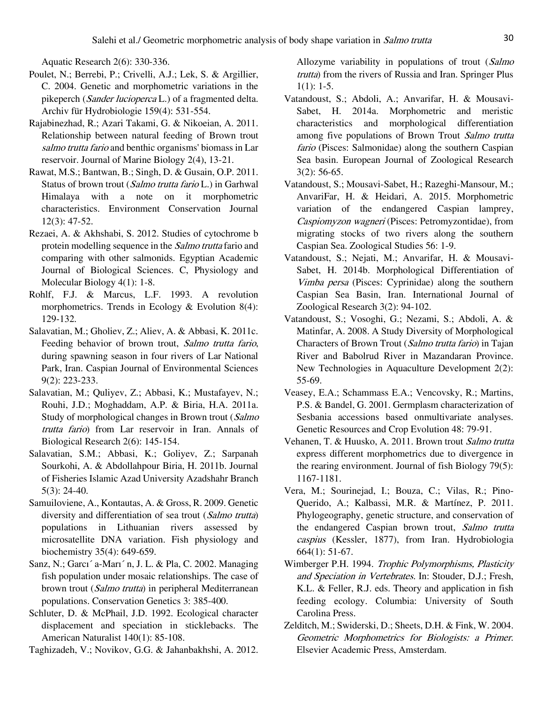Aquatic Research 2(6): 330-336.

- Poulet, N.; Berrebi, P.; Crivelli, A.J.; Lek, S. & Argillier, C. 2004. Genetic and morphometric variations in the pikeperch (Sander lucioperca L.) of a fragmented delta. Archiv für Hydrobiologie 159(4): 531-554.
- Rajabinezhad, R.; Azari Takami, G. & Nikoeian, A. 2011. Relationship between natural feeding of Brown trout salmo trutta fario and benthic organisms' biomass in Lar reservoir. Journal of Marine Biology 2(4), 13-21.
- Rawat, M.S.; Bantwan, B.; Singh, D. & Gusain, O.P. 2011. Status of brown trout (Salmo trutta fario L.) in Garhwal Himalaya with a note on it morphometric characteristics. Environment Conservation Journal 12(3): 47-52.
- Rezaei, A. & Akhshabi, S. 2012. Studies of cytochrome b protein modelling sequence in the Salmo trutta fario and comparing with other salmonids. Egyptian Academic Journal of Biological Sciences. C, Physiology and Molecular Biology 4(1): 1-8.
- Rohlf, F.J. & Marcus, L.F. 1993. A revolution morphometrics. Trends in Ecology & Evolution 8(4): 129-132.
- Salavatian, M.; Gholiev, Z.; Aliev, A. & Abbasi, K. 2011c. Feeding behavior of brown trout, Salmo trutta fario, during spawning season in four rivers of Lar National Park, Iran. Caspian Journal of Environmental Sciences 9(2): 223-233.
- Salavatian, M.; Quliyev, Z.; Abbasi, K.; Mustafayev, N.; Rouhi, J.D.; Moghaddam, A.P. & Biria, H.A. 2011a. Study of morphological changes in Brown trout (Salmo trutta fario) from Lar reservoir in Iran. Annals of Biological Research 2(6): 145-154.
- Salavatian, S.M.; Abbasi, K.; Goliyev, Z.; Sarpanah Sourkohi, A. & Abdollahpour Biria, H. 2011b. Journal of Fisheries Islamic Azad University Azadshahr Branch 5(3): 24-40.
- Samuiloviene, A., Kontautas, A. & Gross, R. 2009. Genetic diversity and differentiation of sea trout (Salmo trutta) populations in Lithuanian rivers assessed by microsatellite DNA variation. Fish physiology and biochemistry 35(4): 649-659.
- Sanz, N.; Garcı´ a-Marı´ n, J. L. & Pla, C. 2002. Managing fish population under mosaic relationships. The case of brown trout (Salmo trutta) in peripheral Mediterranean populations. Conservation Genetics 3: 385-400.
- Schluter, D. & McPhail, J.D. 1992. Ecological character displacement and speciation in sticklebacks. The American Naturalist 140(1): 85-108.
- Taghizadeh, V.; Novikov, G.G. & Jahanbakhshi, A. 2012.

Allozyme variability in populations of trout (Salmo trutta) from the rivers of Russia and Iran. Springer Plus  $1(1): 1-5.$ 

- Vatandoust, S.; Abdoli, A.; Anvarifar, H. & Mousavi-Sabet, H. 2014a. Morphometric and meristic characteristics and morphological differentiation among five populations of Brown Trout Salmo trutta fario (Pisces: Salmonidae) along the southern Caspian Sea basin. European Journal of Zoological Research 3(2): 56-65.
- Vatandoust, S.; Mousavi-Sabet, H.; Razeghi-Mansour, M.; AnvariFar, H. & Heidari, A. 2015. Morphometric variation of the endangered Caspian lamprey, Caspiomyzon wagneri (Pisces: Petromyzontidae), from migrating stocks of two rivers along the southern Caspian Sea. Zoological Studies 56: 1-9.
- Vatandoust, S.; Nejati, M.; Anvarifar, H. & Mousavi-Sabet, H. 2014b. Morphological Differentiation of Vimba persa (Pisces: Cyprinidae) along the southern Caspian Sea Basin, Iran. International Journal of Zoological Research 3(2): 94-102.
- Vatandoust, S.; Vosoghi, G.; Nezami, S.; Abdoli, A. & Matinfar, A. 2008. A Study Diversity of Morphological Characters of Brown Trout (Salmo trutta fario) in Tajan River and Babolrud River in Mazandaran Province. New Technologies in Aquaculture Development 2(2): 55-69.
- Veasey, E.A.; Schammass E.A.; Vencovsky, R.; Martins, P.S. & Bandel, G. 2001. Germplasm characterization of Sesbania accessions based onmultivariate analyses. Genetic Resources and Crop Evolution 48: 79-91.
- Vehanen, T. & Huusko, A. 2011. Brown trout Salmo trutta express different morphometrics due to divergence in the rearing environment. Journal of fish Biology 79(5): 1167-1181.
- Vera, M.; Sourinejad, I.; Bouza, C.; Vilas, R.; Pino-Querido, A.; Kalbassi, M.R. & Martínez, P. 2011. Phylogeography, genetic structure, and conservation of the endangered Caspian brown trout, Salmo trutta caspius (Kessler, 1877), from Iran. Hydrobiologia 664(1): 51-67.
- Wimberger P.H. 1994. Trophic Polymorphisms, Plasticity and Speciation in Vertebrates. In: Stouder, D.J.; Fresh, K.L. & Feller, R.J. eds. Theory and application in fish feeding ecology. Columbia: University of South Carolina Press.
- Zelditch, M.; Swiderski, D.; Sheets, D.H. & Fink, W. 2004. Geometric Morphometrics for Biologists: a Primer. Elsevier Academic Press, Amsterdam.